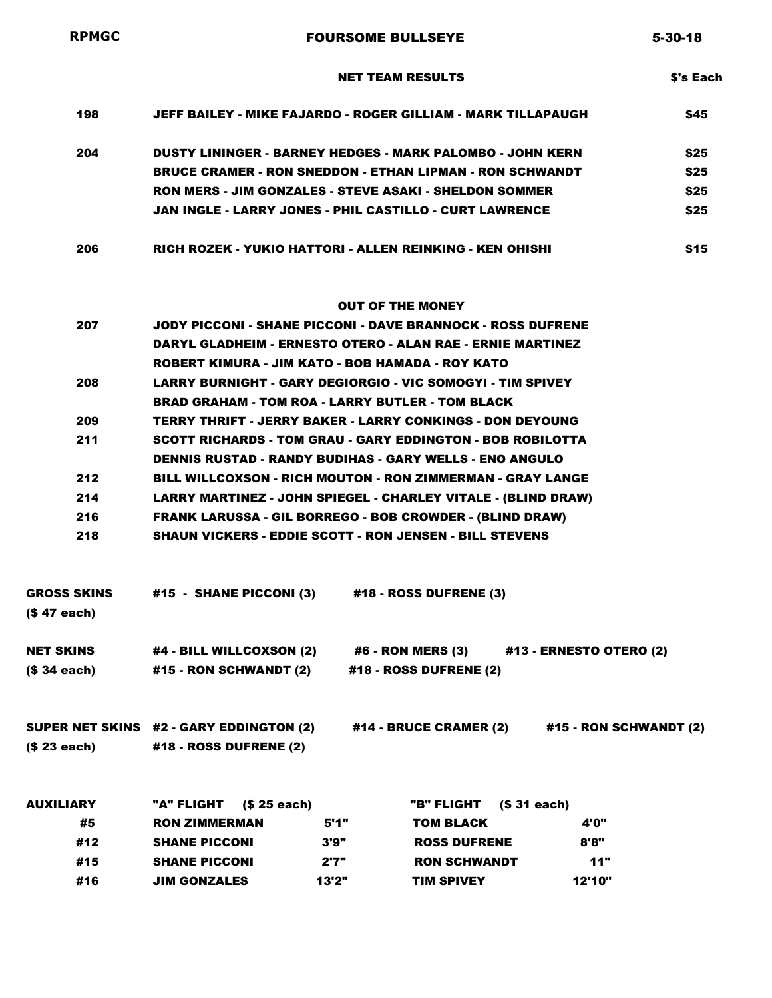| <b>RPMGC</b>                      |                                                                                                                                     | <b>FOURSOME BULLSEYE</b>                                                              | $5 - 30 - 18$   |
|-----------------------------------|-------------------------------------------------------------------------------------------------------------------------------------|---------------------------------------------------------------------------------------|-----------------|
|                                   |                                                                                                                                     | <b>NET TEAM RESULTS</b>                                                               | <b>S's Each</b> |
| 198                               |                                                                                                                                     | JEFF BAILEY - MIKE FAJARDO - ROGER GILLIAM - MARK TILLAPAUGH                          | \$45            |
| 204                               | DUSTY LININGER - BARNEY HEDGES - MARK PALOMBO - JOHN KERN                                                                           |                                                                                       | \$25            |
|                                   |                                                                                                                                     | <b>BRUCE CRAMER - RON SNEDDON - ETHAN LIPMAN - RON SCHWANDT</b>                       | \$25            |
|                                   |                                                                                                                                     | <b>RON MERS - JIM GONZALES - STEVE ASAKI - SHELDON SOMMER</b>                         | \$25            |
|                                   |                                                                                                                                     | JAN INGLE - LARRY JONES - PHIL CASTILLO - CURT LAWRENCE                               | \$25            |
| 206                               |                                                                                                                                     | RICH ROZEK - YUKIO HATTORI - ALLEN REINKING - KEN OHISHI                              | \$15            |
|                                   |                                                                                                                                     | <b>OUT OF THE MONEY</b>                                                               |                 |
| 207                               | JODY PICCONI - SHANE PICCONI - DAVE BRANNOCK - ROSS DUFRENE                                                                         |                                                                                       |                 |
|                                   | <b>DARYL GLADHEIM - ERNESTO OTERO - ALAN RAE - ERNIE MARTINEZ</b>                                                                   |                                                                                       |                 |
|                                   | ROBERT KIMURA - JIM KATO - BOB HAMADA - ROY KATO                                                                                    |                                                                                       |                 |
| 208                               | LARRY BURNIGHT - GARY DEGIORGIO - VIC SOMOGYI - TIM SPIVEY                                                                          |                                                                                       |                 |
|                                   | <b>BRAD GRAHAM - TOM ROA - LARRY BUTLER - TOM BLACK</b>                                                                             |                                                                                       |                 |
| 209                               | <b>TERRY THRIFT - JERRY BAKER - LARRY CONKINGS - DON DEYOUNG</b>                                                                    |                                                                                       |                 |
| 211                               | <b>SCOTT RICHARDS - TOM GRAU - GARY EDDINGTON - BOB ROBILOTTA</b><br><b>DENNIS RUSTAD - RANDY BUDIHAS - GARY WELLS - ENO ANGULO</b> |                                                                                       |                 |
| 212                               | BILL WILLCOXSON - RICH MOUTON - RON ZIMMERMAN - GRAY LANGE                                                                          |                                                                                       |                 |
| 214                               | LARRY MARTINEZ - JOHN SPIEGEL - CHARLEY VITALE - (BLIND DRAW)                                                                       |                                                                                       |                 |
| 216                               | <b>FRANK LARUSSA - GIL BORREGO - BOB CROWDER - (BLIND DRAW)</b>                                                                     |                                                                                       |                 |
| 218                               |                                                                                                                                     | <b>SHAUN VICKERS - EDDIE SCOTT - RON JENSEN - BILL STEVENS</b>                        |                 |
| <b>GROSS SKINS</b><br>(\$47 each) | #15 - SHANE PICCONI (3)                                                                                                             | #18 - ROSS DUFRENE (3)                                                                |                 |
| <b>NET SKINS</b>                  |                                                                                                                                     | #4 - BILL WILLCOXSON (2)   #6 - RON MERS (3)   #13 - ERNESTO OTERO (2)                |                 |
| (\$ 34 each)                      | <b>#15 - RON SCHWANDT (2)</b>                                                                                                       | #18 - ROSS DUFRENE (2)                                                                |                 |
|                                   |                                                                                                                                     | SUPER NET SKINS #2 - GARY EDDINGTON (2) #14 - BRUCE CRAMER (2) #15 - RON SCHWANDT (2) |                 |
| (\$ 23 each)                      | #18 - ROSS DUFRENE (2)                                                                                                              |                                                                                       |                 |
| <b>AUXILIARY</b>                  | "A" FLIGHT (\$ 25 each)                                                                                                             | "B" FLIGHT (\$31 each)                                                                |                 |
| #5                                | <b>RON ZIMMERMAN</b><br>5'1"                                                                                                        | <b>TOM BLACK</b><br>4'0"                                                              |                 |
| #12                               | <b>SHANE PICCONI</b><br>3'9"                                                                                                        | <b>ROSS DUFRENE</b><br>8'8"                                                           |                 |
| #15                               | <b>SHANE PICCONI</b><br>2'7"                                                                                                        | <b>RON SCHWANDT</b><br>11"                                                            |                 |
| #16                               | <b>JIM GONZALES</b><br>13'2"                                                                                                        | <b>TIM SPIVEY</b><br>12'10"                                                           |                 |